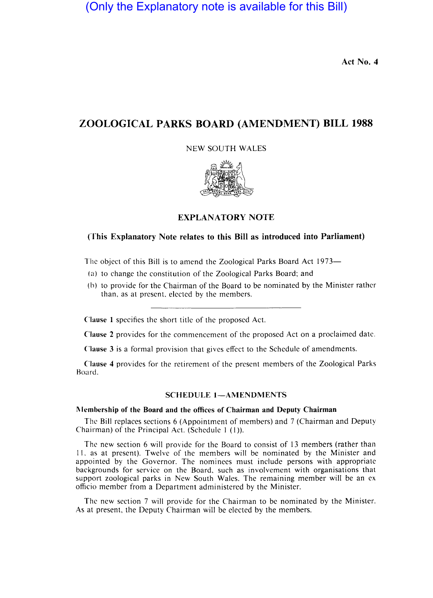# (Only the Explanatory note is available for this Bill)

Act No. 4

# ZOOLOGICAL PARKS BOARD (AMENDMENT) BILL 1988

NEW SOUTH WALES



### EXPLANATORY NOTE

#### (This Explanatory Note relates to this Bill as introduced into Parliament)

The object of this Bill is to amend the Zoological Parks Board Act 1973-

- (a) to change the constitution of the Zoological Parks Board; and
- (b) to provide for the Chairman of the Board to be nominated by the Minister rather than, as at present, elected by the members.

Clause 1 specifies the short title of the proposed Act.

Clause 2 provides for the commencement of the proposed Act on a proclaimed date.

Clause 3 is a formal provision that gives effect to the Schedule of amendments.

Clause 4 provides for the retirement of the present members of the Zoological Parks Board.

#### SCHEDULE 1-AMENDMENTS

#### Membership of the Board and the offices of Chairman and Deputy Chairman

The Bill replaces sections 6 (Appointment of members) and 7 (Chairman and Deputy Chairman) of the Principal Act. (Schedule  $1$  (1)).

The new section 6 will provide for the Board to consist of 13 members (rather than 11. as at present). Twelve of the members will be nominated by the Minister and appointed by the Governor. The nominees must include persons with appropriate backgrounds for service on the Board, such as involvement with organisations that support zoological parks in New South Wales. The remaining member will be an ex officio member from a Department administered by the Minister.

The new section 7 will provide for the Chairman to be nominated by the Minister. As at present, the Deputy Chairman will be elected by the members.